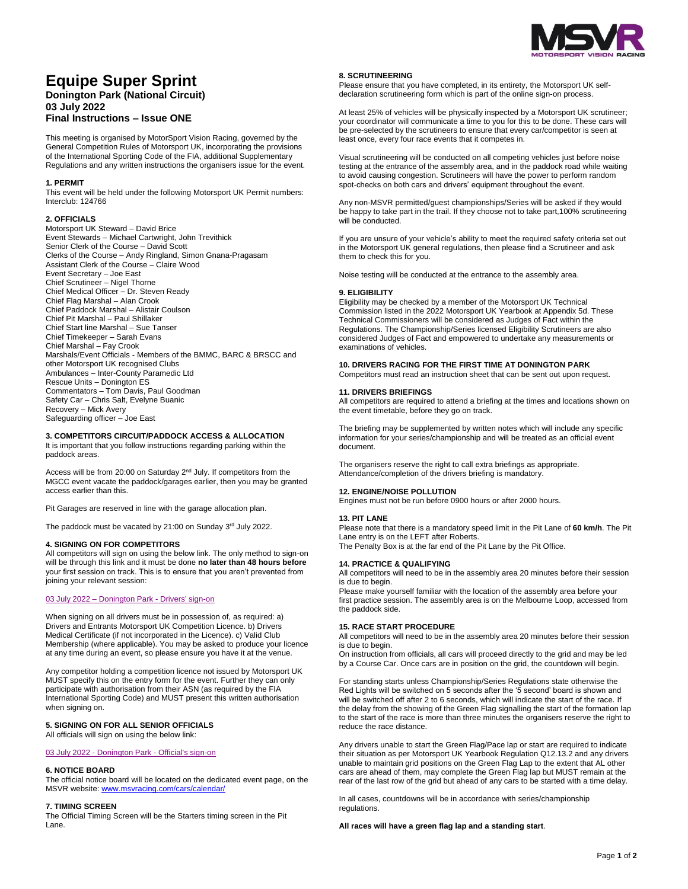

# **Equipe Super Sprint**

# **Donington Park (National Circuit) 03 July 2022**

## **Final Instructions – Issue ONE**

This meeting is organised by MotorSport Vision Racing, governed by the General Competition Rules of Motorsport UK, incorporating the provisions of the International Sporting Code of the FIA, additional Supplementary Regulations and any written instructions the organisers issue for the event.

#### **1. PERMIT**

This event will be held under the following Motorsport UK Permit numbers: Interclub: 124766

#### **2. OFFICIALS**

Motorsport UK Steward – David Brice Event Stewards – Michael Cartwright, John Trevithick Senior Clerk of the Course – David Scott Clerks of the Course – Andy Ringland, Simon Gnana-Pragasam Assistant Clerk of the Course – Claire Wood Event Secretary – Joe East Chief Scrutineer – Nigel Thorne Chief Medical Officer – Dr. Steven Ready Chief Flag Marshal – Alan Crook Chief Paddock Marshal – Alistair Coulson Chief Pit Marshal – Paul Shillaker Chief Start line Marshal – Sue Tanser Chief Timekeeper – Sarah Evans Chief Marshal – Fay Crook Marshals/Event Officials - Members of the BMMC, BARC & BRSCC and other Motorsport UK recognised Clubs Ambulances – Inter-County Paramedic Ltd Rescue Units – Donington ES Commentators – Tom Davis, Paul Goodman Safety Car – Chris Salt, Evelyne Buanic Recovery – Mick Avery Safeguarding officer – Joe East

## **3. COMPETITORS CIRCUIT/PADDOCK ACCESS & ALLOCATION**

It is important that you follow instructions regarding parking within the paddock areas.

Access will be from 20:00 on Saturday 2<sup>nd</sup> July. If competitors from the MGCC event vacate the paddock/garages earlier, then you may be granted access earlier than this.

Pit Garages are reserved in line with the garage allocation plan.

The paddock must be vacated by 21:00 on Sunday 3rd July 2022.

#### **4. SIGNING ON FOR COMPETITORS**

All competitors will sign on using the below link. The only method to sign-on will be through this link and it must be done **no later than 48 hours before** your first session on track. This is to ensure that you aren't prevented from joining your relevant session:

## 03 July 2022 – Donington Park - [Drivers' sign-on](https://racing.msv.com/CheckIn/38639957-ee82-4a92-8ccd-41cbc6ba553a)

When signing on all drivers must be in possession of, as required: a) Drivers and Entrants Motorsport UK Competition Licence. b) Drivers Medical Certificate (if not incorporated in the Licence). c) Valid Club Membership (where applicable). You may be asked to produce your licence at any time during an event, so please ensure you have it at the venue.

Any competitor holding a competition licence not issued by Motorsport UK MUST specify this on the entry form for the event. Further they can only participate with authorisation from their ASN (as required by the FIA International Sporting Code) and MUST present this written authorisation when signing on.

## **5. SIGNING ON FOR ALL SENIOR OFFICIALS**

All officials will sign on using the below link:

#### 03 July 2022 - [Donington Park -](https://racing.msv.com/CheckIn/Officals/38639957-ee82-4a92-8ccd-41cbc6ba553a) Official's sign-on

## **6. NOTICE BOARD**

The official notice board will be located on the dedicated event page, on the MSVR website[: www.msvracing.com/cars/calendar/](http://www.msvracing.com/cars/calendar/)

## **7. TIMING SCREEN**

The Official Timing Screen will be the Starters timing screen in the Pit Lane.

#### **8. SCRUTINEERING**

Please ensure that you have completed, in its entirety, the Motorsport UK selfdeclaration scrutineering form which is part of the online sign-on process.

At least 25% of vehicles will be physically inspected by a Motorsport UK scrutineer; your coordinator will communicate a time to you for this to be done. These cars will be pre-selected by the scrutineers to ensure that every car/competitor is seen at least once, every four race events that it competes in.

Visual scrutineering will be conducted on all competing vehicles just before noise testing at the entrance of the assembly area, and in the paddock road while waiting to avoid causing congestion. Scrutineers will have the power to perform random spot-checks on both cars and drivers' equipment throughout the event.

Any non-MSVR permitted/guest championships/Series will be asked if they would be happy to take part in the trail. If they choose not to take part,100% scrutineering will be conducted.

If you are unsure of your vehicle's ability to meet the required safety criteria set out in the Motorsport UK general regulations, then please find a Scrutineer and ask them to check this for you.

Noise testing will be conducted at the entrance to the assembly area.

#### **9. ELIGIBILITY**

Eligibility may be checked by a member of the Motorsport UK Technical Commission listed in the 2022 Motorsport UK Yearbook at Appendix 5d. These Technical Commissioners will be considered as Judges of Fact within the Regulations. The Championship/Series licensed Eligibility Scrutineers are also considered Judges of Fact and empowered to undertake any measurements or examinations of vehicles.

## **10. DRIVERS RACING FOR THE FIRST TIME AT DONINGTON PARK**

Competitors must read an instruction sheet that can be sent out upon request.

#### **11. DRIVERS BRIEFINGS**

All competitors are required to attend a briefing at the times and locations shown on the event timetable, before they go on track.

The briefing may be supplemented by written notes which will include any specific information for your series/championship and will be treated as an official event document.

The organisers reserve the right to call extra briefings as appropriate. Attendance/completion of the drivers briefing is mandatory.

#### **12. ENGINE/NOISE POLLUTION**

Engines must not be run before 0900 hours or after 2000 hours.

#### **13. PIT LANE**

Please note that there is a mandatory speed limit in the Pit Lane of **60 km/h**. The Pit Lane entry is on the LEFT after Roberts.

The Penalty Box is at the far end of the Pit Lane by the Pit Office.

#### **14. PRACTICE & QUALIFYING**

All competitors will need to be in the assembly area 20 minutes before their session is due to begin.

Please make yourself familiar with the location of the assembly area before your first practice session. The assembly area is on the Melbourne Loop, accessed from the paddock side.

#### **15. RACE START PROCEDURE**

All competitors will need to be in the assembly area 20 minutes before their session is due to begin.

On instruction from officials, all cars will proceed directly to the grid and may be led by a Course Car. Once cars are in position on the grid, the countdown will begin.

For standing starts unless Championship/Series Regulations state otherwise the Red Lights will be switched on 5 seconds after the '5 second' board is shown and will be switched off after 2 to 6 seconds, which will indicate the start of the race. If the delay from the showing of the Green Flag signalling the start of the formation lap to the start of the race is more than three minutes the organisers reserve the right to reduce the race distance.

Any drivers unable to start the Green Flag/Pace lap or start are required to indicate their situation as per Motorsport UK Yearbook Regulation Q12.13.2 and any drivers unable to maintain grid positions on the Green Flag Lap to the extent that AL other cars are ahead of them, may complete the Green Flag lap but MUST remain at the rear of the last row of the grid but ahead of any cars to be started with a time delay.

In all cases, countdowns will be in accordance with series/championship regulations.

#### **All races will have a green flag lap and a standing start**.